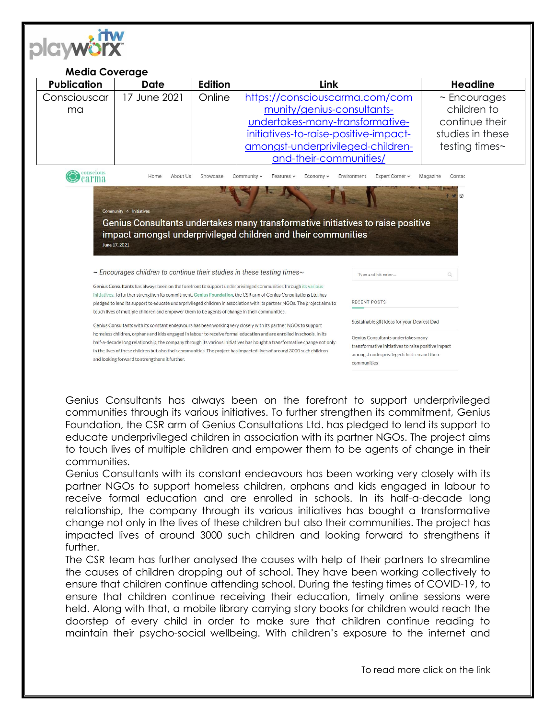| <b>Media Coverage</b><br><b>Publication</b> | <b>Date</b>                                                                                                                                                                          | Edition | Link                                                                                                                                                                                                                                                                                                                                                              |                                           | <b>Headline</b>                                                                                |
|---------------------------------------------|--------------------------------------------------------------------------------------------------------------------------------------------------------------------------------------|---------|-------------------------------------------------------------------------------------------------------------------------------------------------------------------------------------------------------------------------------------------------------------------------------------------------------------------------------------------------------------------|-------------------------------------------|------------------------------------------------------------------------------------------------|
| Consciouscar<br>ma                          | 17 June 2021                                                                                                                                                                         | Online  | https://consciouscarma.com/com<br>munity/genius-consultants-<br>undertakes-many-transformative-<br>initiatives-to-raise-positive-impact-<br>amongst-underprivileged-children-<br>and-their-communities/                                                                                                                                                           |                                           | $\sim$ Encourages<br>children to<br>continue their<br>studies in these<br>testing times $\sim$ |
|                                             |                                                                                                                                                                                      |         |                                                                                                                                                                                                                                                                                                                                                                   |                                           | $\circ$                                                                                        |
|                                             | Community o Initiatives<br>June 17, 2021                                                                                                                                             |         | Genius Consultants undertakes many transformative initiatives to raise positive<br>impact amongst underprivileged children and their communities                                                                                                                                                                                                                  |                                           |                                                                                                |
|                                             | $\sim$ Encourages children to continue their studies in these testing times $\sim$<br>touch lives of multiple children and empower them to be agents of change in their communities. |         | Genius Consultants has always been on the forefront to support underprivileged communities through its various<br>initiatives. To further strengthen its commitment, Genius Foundation, the CSR arm of Genius Consultations Ltd. has<br>pledged to lend its support to educate underprivileged children in association with its partner NGOs. The project aims to | Type and hit enter<br><b>RECENT POSTS</b> | $\alpha$                                                                                       |

Genius Consultants has always been on the forefront to support underprivileged communities through its various initiatives. To further strengthen its commitment, Genius Foundation, the CSR arm of Genius Consultations Ltd. has pledged to lend its support to educate underprivileged children in association with its partner NGOs. The project aims to touch lives of multiple children and empower them to be agents of change in their communities.

Genius Consultants with its constant endeavours has been working very closely with its partner NGOs to support homeless children, orphans and kids engaged in labour to receive formal education and are enrolled in schools. In its half-a-decade long relationship, the company through its various initiatives has bought a transformative change not only in the lives of these children but also their communities. The project has impacted lives of around 3000 such children and looking forward to strengthens it further.

The CSR team has further analysed the causes with help of their partners to streamline the causes of children dropping out of school. They have been working collectively to ensure that children continue attending school. During the testing times of COVID-19, to ensure that children continue receiving their education, timely online sessions were held. Along with that, a mobile library carrying story books for children would reach the doorstep of every child in order to make sure that children continue reading to maintain their psycho-social wellbeing. With children's exposure to the internet and

To read more click on the link